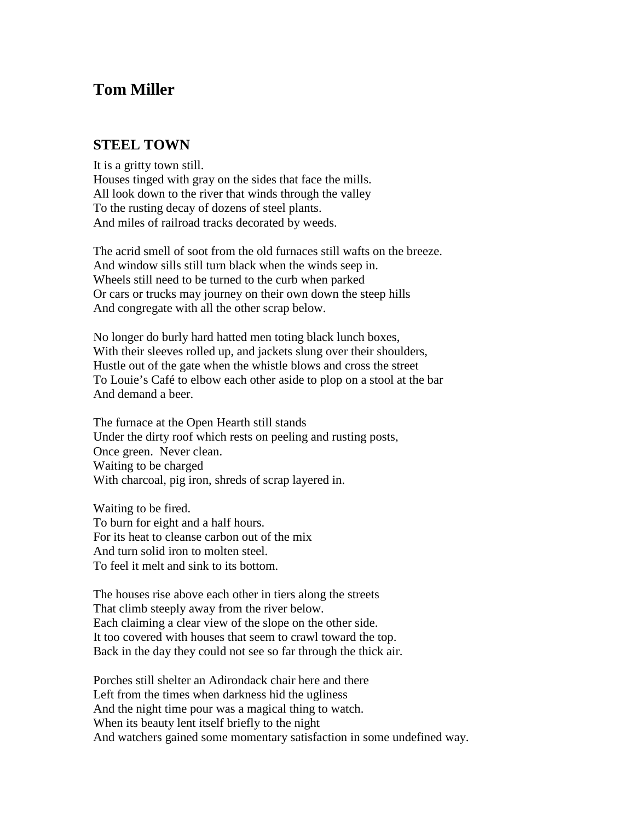## **Tom Miller**

## **STEEL TOWN**

It is a gritty town still. Houses tinged with gray on the sides that face the mills. All look down to the river that winds through the valley To the rusting decay of dozens of steel plants. And miles of railroad tracks decorated by weeds.

The acrid smell of soot from the old furnaces still wafts on the breeze. And window sills still turn black when the winds seep in. Wheels still need to be turned to the curb when parked Or cars or trucks may journey on their own down the steep hills And congregate with all the other scrap below.

No longer do burly hard hatted men toting black lunch boxes, With their sleeves rolled up, and jackets slung over their shoulders, Hustle out of the gate when the whistle blows and cross the street To Louie's Café to elbow each other aside to plop on a stool at the bar And demand a beer.

The furnace at the Open Hearth still stands Under the dirty roof which rests on peeling and rusting posts, Once green. Never clean. Waiting to be charged With charcoal, pig iron, shreds of scrap layered in.

Waiting to be fired. To burn for eight and a half hours. For its heat to cleanse carbon out of the mix And turn solid iron to molten steel. To feel it melt and sink to its bottom.

The houses rise above each other in tiers along the streets That climb steeply away from the river below. Each claiming a clear view of the slope on the other side. It too covered with houses that seem to crawl toward the top. Back in the day they could not see so far through the thick air.

Porches still shelter an Adirondack chair here and there Left from the times when darkness hid the ugliness And the night time pour was a magical thing to watch. When its beauty lent itself briefly to the night And watchers gained some momentary satisfaction in some undefined way.